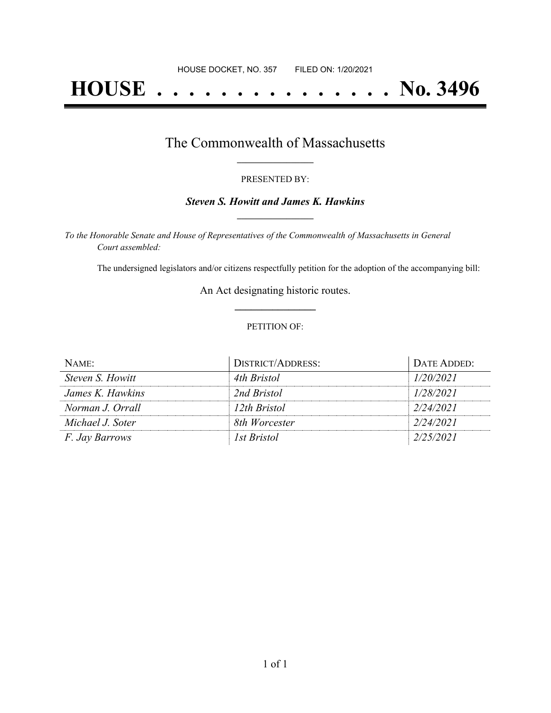# **HOUSE . . . . . . . . . . . . . . . No. 3496**

### The Commonwealth of Massachusetts **\_\_\_\_\_\_\_\_\_\_\_\_\_\_\_\_\_**

#### PRESENTED BY:

#### *Steven S. Howitt and James K. Hawkins* **\_\_\_\_\_\_\_\_\_\_\_\_\_\_\_\_\_**

*To the Honorable Senate and House of Representatives of the Commonwealth of Massachusetts in General Court assembled:*

The undersigned legislators and/or citizens respectfully petition for the adoption of the accompanying bill:

An Act designating historic routes. **\_\_\_\_\_\_\_\_\_\_\_\_\_\_\_**

#### PETITION OF:

| NAME:                 | <b>DISTRICT/ADDRESS:</b> | DATE ADDED: |
|-----------------------|--------------------------|-------------|
| Steven S. Howitt      | 4th Bristol              | 1/20/2021   |
| James K. Hawkins      | 2nd Bristol              | 1/28/2021   |
| Norman J. Orrall      | 12th Bristol             | 2/24/2021   |
| Michael J. Soter      | 8th Worcester            | 2/24/2021   |
| <i>F. Jay Barrows</i> | <i>Ist Bristol</i>       | 2/25/2021   |